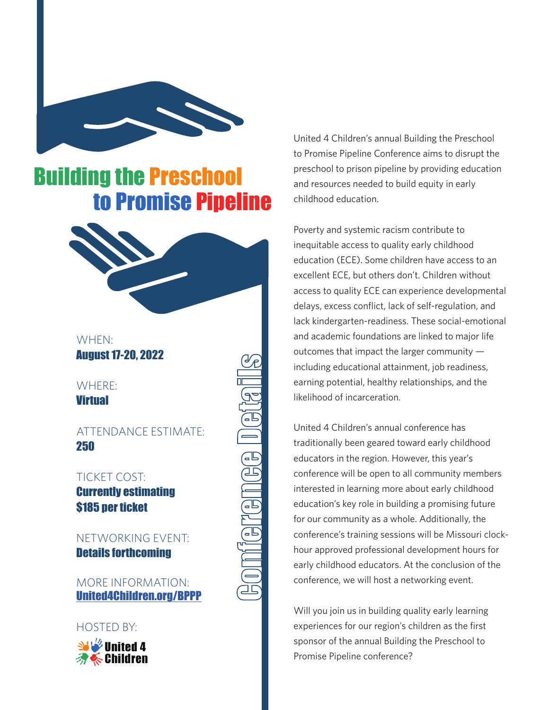

# Building the Preschool to Promise Pipeline



WHEN: August 17-20, 2022

WHERE: **Virtual** 

ATTENDANCE ESTIMATE: 250

Conference Details

j<br>E

 $\frac{1}{2}$ 

TICKET COST: Currently estimating \$185 per ticket

NETWORKING EVENT: Details forthcoming

MORE INFORMATION: United4Children.org/BPPP

### HOSTED BY:



United 4 Children's annual Building the Preschool to Promise Pipeline Conference aims to disrupt the preschool to prison pipeline by providing education and resources needed to build equity in early childhood education.

Poverty and systemic racism contribute to inequitable access to quality early childhood education (ECE). Some children have access to an excellent ECE, but others don't. Children without access to quality ECE can experience developmental delays, excess conflict, lack of self-regulation, and lack kindergarten-readiness. These social-emotional and academic foundations are linked to major life outcomes that impact the larger community including educational attainment, job readiness, earning potential, healthy relationships, and the likelihood of incarceration.

United 4 Children's annual conference has traditionally been geared toward early childhood educators in the region. However, this year's conference will be open to all community members interested in learning more about early childhood education's key role in building a promising future for our community as a whole. Additionally, the conference's training sessions will be Missouri clockhour approved professional development hours for early childhood educators. At the conclusion of the conference, we will host a networking event.

Will you join us in building quality early learning experiences for our region's children as the first sponsor of the annual Building the Preschool to Promise Pipeline conference?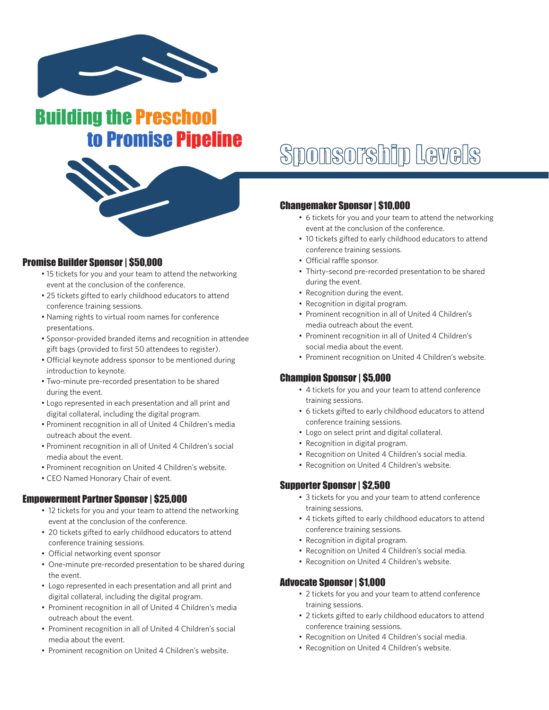

Building the Preschool



#### Promise Builder Sponsor | \$50,000

- 15 tickets for you and your team to attend the networking event at the conclusion of the conference.
- 25 tickets gifted to early childhood educators to attend conference training sessions.
- Naming rights to virtual room names for conference presentations.
- Sponsor-provided branded items and recognition in attendee gift bags (provided to first 50 attendees to register).
- Official keynote address sponsor to be mentioned during introduction to keynote.
- Two-minute pre-recorded presentation to be shared during the event.
- Logo represented in each presentation and all print and digital collateral, including the digital program.
- Prominent recognition in all of United 4 Children's media outreach about the event.
- Prominent recognition in all of United 4 Children's social media about the event.
- Prominent recognition on United 4 Children's website.
- CEO Named Honorary Chair of event.

#### Empowerment Partner Sponsor | \$25,000

- 12 tickets for you and your team to attend the networking event at the conclusion of the conference.
- 20 tickets gifted to early childhood educators to attend conference training sessions.
- Official networking event sponsor
- One-minute pre-recorded presentation to be shared during the event.
- Logo represented in each presentation and all print and digital collateral, including the digital program.
- Prominent recognition in all of United 4 Children's media outreach about the event.
- Prominent recognition in all of United 4 Children's social media about the event.
- Prominent recognition on United 4 Children's website.

# to Promise Pipeline<br>Sponsorship Levels

#### Changemaker Sponsor | \$10,000

- 6 tickets for you and your team to attend the networking event at the conclusion of the conference.
- 10 tickets gifted to early childhood educators to attend conference training sessions.
- Official raffle sponsor.
- Thirty-second pre-recorded presentation to be shared during the event.
- Recognition during the event.
- Recognition in digital program.
- Prominent recognition in all of United 4 Children's media outreach about the event.
- Prominent recognition in all of United 4 Children's social media about the event.
- Prominent recognition on United 4 Children's website.

#### Champion Sponsor | \$5,000

- 4 tickets for you and your team to attend conference training sessions.
- 6 tickets gifted to early childhood educators to attend conference training sessions.
- Logo on select print and digital collateral.
- Recognition in digital program.
- Recognition on United 4 Children's social media.
- Recognition on United 4 Children's website.

#### Supporter Sponsor | \$2,500

- 3 tickets for you and your team to attend conference training sessions.
- 4 tickets gifted to early childhood educators to attend conference training sessions.
- Recognition in digital program.
- Recognition on United 4 Children's social media.
- Recognition on United 4 Children's website.

#### Advocate Sponsor | \$1,000

- 2 tickets for you and your team to attend conference training sessions.
- 2 tickets gifted to early childhood educators to attend conference training sessions.
- Recognition on United 4 Children's social media.
- Recognition on United 4 Children's website.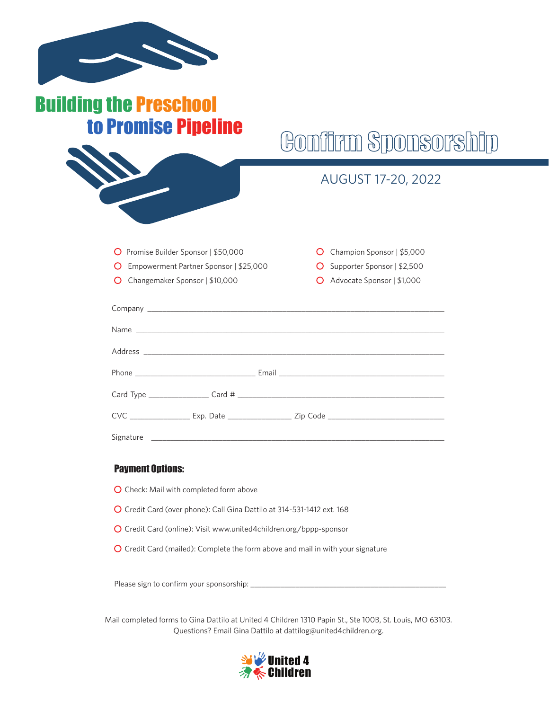| uilding the Preschool<br>to Promise Pipeline                                           |                                                                                                     |
|----------------------------------------------------------------------------------------|-----------------------------------------------------------------------------------------------------|
|                                                                                        | Gontirm Sponsorsh                                                                                   |
|                                                                                        | AUGUST 17-20, 2022                                                                                  |
| Promise Builder Sponsor   \$50,000<br>Ő<br>Empowerment Partner Sponsor   \$25,000<br>Ő | Champion Sponsor   \$5,000<br>$\Omega$<br>Supporter Sponsor   \$2,500<br>O                          |
| Changemaker Sponsor   \$10,000<br>O                                                    | Advocate Sponsor   \$1,000                                                                          |
|                                                                                        |                                                                                                     |
|                                                                                        |                                                                                                     |
|                                                                                        |                                                                                                     |
|                                                                                        |                                                                                                     |
|                                                                                        |                                                                                                     |
|                                                                                        | CVC ___________________ Exp. Date ____________________ Zip Code ___________________________________ |
|                                                                                        |                                                                                                     |

#### Payment Options:

- O Check: Mail with completed form above
- O Credit Card (over phone): Call Gina Dattilo at 314-531-1412 ext. 168
- O Credit Card (online): Visit www.united4children.org/bppp-sponsor
- O Credit Card (mailed): Complete the form above and mail in with your signature

Please sign to confirm your sponsorship:

Mail completed forms to Gina Dattilo at United 4 Children 1310 Papin St., Ste 100B, St. Louis, MO 63103. Questions? Email Gina Dattilo at dattilog@united4children.org.